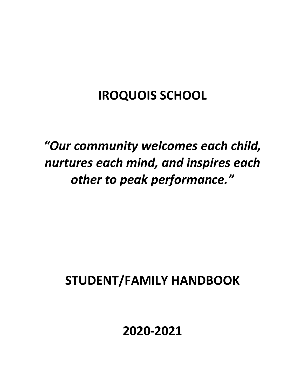# **IROQUOIS SCHOOL**

# *"Our community welcomes each child, nurtures each mind, and inspires each other to peak performance."*

# **STUDENT/FAMILY HANDBOOK**

# **2020-2021**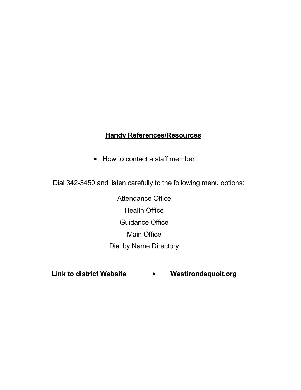# **Handy References/Resources**

■ How to contact a staff member

Dial 342-3450 and listen carefully to the following menu options:

Attendance Office Health Office Guidance Office Main Office Dial by Name Directory

Link to district Website **Willem Mestirondequoit.org**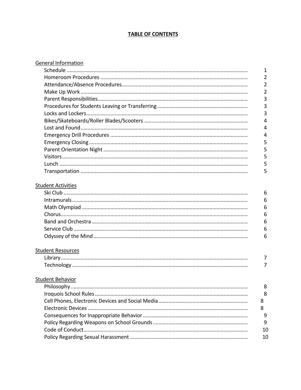### **TABLE OF CONTENTS**

| <b>General Information</b>                                                                                                    |                |
|-------------------------------------------------------------------------------------------------------------------------------|----------------|
|                                                                                                                               | $\mathbf{1}$   |
|                                                                                                                               | $\overline{2}$ |
|                                                                                                                               | $\overline{2}$ |
|                                                                                                                               | $\overline{2}$ |
|                                                                                                                               | 3              |
|                                                                                                                               | 3              |
|                                                                                                                               | 3              |
|                                                                                                                               | 4              |
|                                                                                                                               | 4              |
|                                                                                                                               | 4              |
|                                                                                                                               | 5              |
|                                                                                                                               | 5              |
|                                                                                                                               | 5              |
|                                                                                                                               | 5              |
|                                                                                                                               | 5              |
| <b>Student Activities</b>                                                                                                     |                |
|                                                                                                                               | 6              |
|                                                                                                                               | 6              |
|                                                                                                                               | 6              |
|                                                                                                                               | 6              |
|                                                                                                                               | 6              |
|                                                                                                                               | 6              |
|                                                                                                                               | 6              |
| <b>Student Resources</b>                                                                                                      |                |
|                                                                                                                               | 7              |
|                                                                                                                               | 7              |
|                                                                                                                               |                |
| <b>Student Behavior</b>                                                                                                       |                |
|                                                                                                                               | 8              |
|                                                                                                                               | 8              |
|                                                                                                                               | 8              |
|                                                                                                                               | 8              |
| $\mathcal{L}$ and $\mathcal{L}$ and $\mathcal{L}$ are the set of $\mathcal{L}$ and $\mathcal{L}$ are the set of $\mathcal{L}$ |                |

| q  |
|----|
| q  |
| 10 |
| 10 |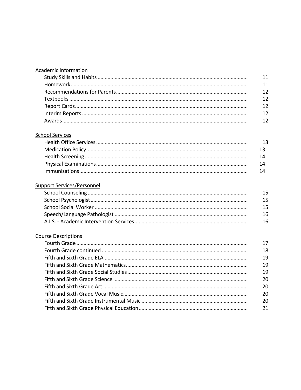| Academic Information |  |
|----------------------|--|
|                      |  |
|                      |  |
|                      |  |
|                      |  |
|                      |  |
|                      |  |
|                      |  |
|                      |  |

#### **School Services**

| 13   |
|------|
|      |
| 14   |
| 14   |
| - 14 |

#### **Support Services/Personnel**

| 15  |
|-----|
| 15  |
| 15  |
| 16  |
| -16 |

#### **Course Descriptions**

| 17 |
|----|
| 18 |
| 19 |
| 19 |
| 19 |
| 20 |
| 20 |
| 20 |
| 20 |
| 21 |
|    |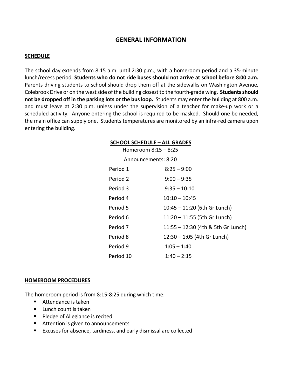#### **GENERAL INFORMATION**

#### **SCHEDULE**

The school day extends from 8:15 a.m. until 2:30 p.m., with a homeroom period and a 35-minute lunch/recess period. **Students who do not ride buses should not arrive at school before 8:00 a.m.** Parents driving students to school should drop them off at the sidewalks on Washington Avenue, Colebrook Drive or on the west side of the building closest to the fourth-grade wing. **Students should not be dropped off in the parking lots or the bus loop.** Students may enter the building at 800 a.m. and must leave at 2:30 p.m. unless under the supervision of a teacher for make-up work or a scheduled activity. Anyone entering the school is required to be masked. Should one be needed, the main office can supply one. Students temperatures are monitored by an infra-red camera upon entering the building.

#### **SCHOOL SCHEDULE – ALL GRADES**

| Homeroom $8:15 - 8:25$ |                                    |
|------------------------|------------------------------------|
| Announcements: 8:20    |                                    |
| Period 1               | $8:25 - 9:00$                      |
| Period 2               | $9:00 - 9:35$                      |
| Period 3               | $9:35 - 10:10$                     |
| Period 4               | $10:10 - 10:45$                    |
| Period 5               | 10:45 - 11:20 (6th Gr Lunch)       |
| Period 6               | 11:20 - 11:55 (5th Gr Lunch)       |
| Period 7               | 11:55 - 12:30 (4th & 5th Gr Lunch) |
| Period 8               | $12:30 - 1:05$ (4th Gr Lunch)      |
| Period 9               | $1:05 - 1:40$                      |
| Period 10              | $1:40 - 2:15$                      |

#### **HOMEROOM PROCEDURES**

The homeroom period is from 8:15-8:25 during which time:

- Attendance is taken
- **Lunch count is taken**
- **Pledge of Allegiance is recited**
- Attention is given to announcements
- Excuses for absence, tardiness, and early dismissal are collected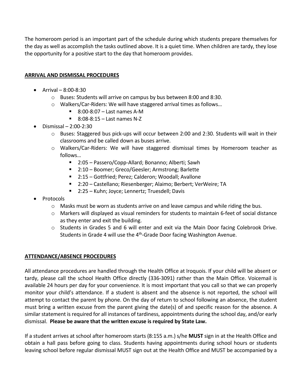The homeroom period is an important part of the schedule during which students prepare themselves for the day as well as accomplish the tasks outlined above. It is a quiet time. When children are tardy, they lose the opportunity for a positive start to the day that homeroom provides.

#### **ARRIVAL AND DISMISSAL PROCEDURES**

- Arrival 8:00-8:30
	- $\circ$  Buses: Students will arrive on campus by bus between 8:00 and 8:30.
	- o Walkers/Car-Riders: We will have staggered arrival times as follows…
		- $\blacksquare$  8:00-8:07 Last names A-M
		- $\blacksquare$  8:08-8:15 Last names N-Z
- Dismissal 2:00-2:30
	- $\circ$  Buses: Staggered bus pick-ups will occur between 2:00 and 2:30. Students will wait in their classrooms and be called down as buses arrive.
	- o Walkers/Car-Riders: We will have staggered dismissal times by Homeroom teacher as follows…
		- 2:05 Passero/Copp-Allard; Bonanno; Alberti; Sawh
		- 2:10 Boomer; Greco/Geesler; Armstrong; Barlette
		- 2:15 Gottfried; Perez; Calderon; Woodall; Avallone
		- 2:20 Castellano; Riesenberger; Alaimo; Berbert; VerWeire; TA
		- 2:25 Kuhn; Joyce; Lennertz; Truesdell; Davis
- Protocols
	- $\circ$  Masks must be worn as students arrive on and leave campus and while riding the bus.
	- o Markers will displayed as visual reminders for students to maintain 6-feet of social distance as they enter and exit the building.
	- $\circ$  Students in Grades 5 and 6 will enter and exit via the Main Door facing Colebrook Drive. Students in Grade 4 will use the  $4<sup>th</sup>$ -Grade Door facing Washington Avenue.

#### **ATTENDANCE/ABSENCE PROCEDURES**

All attendance procedures are handled through the Health Office at Iroquois. If your child will be absent or tardy, please call the school Health Office directly (336-3091) rather than the Main Office. Voicemail is available 24 hours per day for your convenience. It is most important that you call so that we can properly monitor your child's attendance. If a student is absent and the absence is not reported, the school will attempt to contact the parent by phone. On the day of return to school following an absence, the student must bring a written excuse from the parent giving the date(s) of and specific reason for the absence. A similar statement is required for all instances of tardiness, appointments during the school day, and/or early dismissal. **Please be aware that the written excuse is required by State Law.**

If a student arrives at school after homeroom starts (8:155 a.m.) s/he **MUST** sign in at the Health Office and obtain a hall pass before going to class. Students having appointments during school hours or students leaving school before regular dismissal MUST sign out at the Health Office and MUST be accompanied by a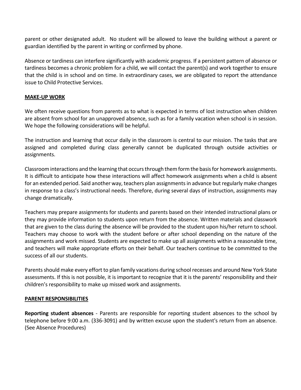parent or other designated adult. No student will be allowed to leave the building without a parent or guardian identified by the parent in writing or confirmed by phone.

Absence or tardiness can interfere significantly with academic progress. If a persistent pattern of absence or tardiness becomes a chronic problem for a child, we will contact the parent(s) and work together to ensure that the child is in school and on time. In extraordinary cases, we are obligated to report the attendance issue to Child Protective Services.

#### **MAKE-UP WORK**

We often receive questions from parents as to what is expected in terms of lost instruction when children are absent from school for an unapproved absence, such as for a family vacation when school is in session. We hope the following considerations will be helpful.

The instruction and learning that occur daily in the classroom is central to our mission. The tasks that are assigned and completed during class generally cannot be duplicated through outside activities or assignments.

Classroom interactions and the learning that occurs through them form the basis for homework assignments. It is difficult to anticipate how these interactions will affect homework assignments when a child is absent for an extended period. Said another way, teachers plan assignments in advance but regularly make changes in response to a class's instructional needs. Therefore, during several days of instruction, assignments may change dramatically.

Teachers may prepare assignments for students and parents based on their intended instructional plans or they may provide information to students upon return from the absence. Written materials and classwork that are given to the class during the absence will be provided to the student upon his/her return to school. Teachers may choose to work with the student before or after school depending on the nature of the assignments and work missed. Students are expected to make up all assignments within a reasonable time, and teachers will make appropriate efforts on their behalf. Our teachers continue to be committed to the success of all our students.

Parents should make every effort to plan family vacations during school recesses and around New York State assessments. If this is not possible, it is important to recognize that it is the parents' responsibility and their children's responsibility to make up missed work and assignments.

#### **PARENT RESPONSIBILITIES**

**Reporting student absences** - Parents are responsible for reporting student absences to the school by telephone before 9:00 a.m. (336-3091) and by written excuse upon the student's return from an absence. (See Absence Procedures)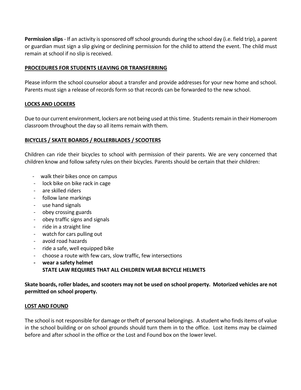**Permission slips**- If an activity is sponsored off school grounds during the school day (i.e. field trip), a parent or guardian must sign a slip giving or declining permission for the child to attend the event. The child must remain at school if no slip is received.

#### **PROCEDURES FOR STUDENTS LEAVING OR TRANSFERRING**

Please inform the school counselor about a transfer and provide addresses for your new home and school. Parents must sign a release of records form so that records can be forwarded to the new school.

#### **LOCKS AND LOCKERS**

Due to our current environment, lockers are not being used at this time. Students remain in their Homeroom classroom throughout the day so all items remain with them.

#### **BICYCLES / SKATE BOARDS / ROLLERBLADES / SCOOTERS**

Children can ride their bicycles to school with permission of their parents. We are very concerned that children know and follow safety rules on their bicycles. Parents should be certain that their children:

- walk their bikes once on campus
- lock bike on bike rack in cage
- are skilled riders
- follow lane markings
- use hand signals
- obey crossing guards
- obey traffic signs and signals
- ride in a straight line
- watch for cars pulling out
- avoid road hazards
- ride a safe, well equipped bike
- choose a route with few cars, slow traffic, few intersections
- **- wear a safety helmet STATE LAW REQUIRES THAT ALL CHILDREN WEAR BICYCLE HELMETS**

**Skate boards, roller blades, and scooters may not be used on school property. Motorized vehicles are not permitted on school property.**

#### **LOST AND FOUND**

The school is not responsible for damage or theft of personal belongings. A student who finds items of value in the school building or on school grounds should turn them in to the office. Lost items may be claimed before and after school in the office or the Lost and Found box on the lower level.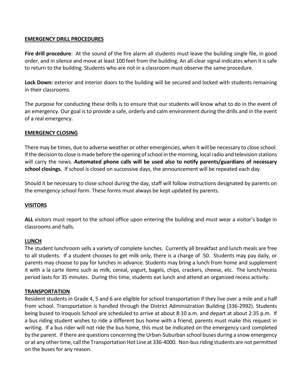#### **EMERGENCY DRILL PROCEDURES**

**Fire drill procedure**: At the sound of the fire alarm all students must leave the building single file, in good order, and in silence and move at least 100 feet from the building. An all-clear signal indicates when it is safe to return to the building. Students who are not in a classroom must observe the same procedure.

Lock Down: exterior and interior doors to the building will be secured and locked with students remaining in their classrooms.

The purpose for conducting these drills is to ensure that our students will know what to do in the event of an emergency. Our goal is to provide a safe, orderly and calm environment during the drills and in the event of a real emergency.

#### **EMERGENCY CLOSING**

There may be times, due to adverse weather or other emergencies, when it will be necessary to close school. If the decision to close is made before the opening of school in the morning, local radio and television stations will carry the news. **Automated phone calls will be used also to notify parents/guardians of necessary school closings.** If school is closed on successive days, the announcement will be repeated each day.

Should it be necessary to close school during the day, staff will follow instructions designated by parents on the emergency school form. These forms must always be kept updated by parents.

#### **VISITORS**

**ALL** visitors must report to the school office upon entering the building and must wear a visitor's badge in classrooms and halls.

#### **LUNCH**

The student lunchroom sells a variety of complete lunches. Currently all breakfast and lunch meals are free to all students. If a student chooses to get milk only, there is a charge of .50. Students may pay daily, or parents may choose to pay for lunches in advance. Students may bring a lunch from home and supplement it with a la carte items such as milk, cereal, yogurt, bagels, chips, crackers, cheese, etc. The lunch/recess period lasts for 35 minutes. During this time, students eat lunch and attend an organized recess activity.

#### **TRANSPORTATION**

Resident students in Grade 4, 5 and 6 are eligible for school transportation if they live over a mile and a half from school. Transportation is handled through the District Administration Building (336-2992). Students being bused to Iroquois School are scheduled to arrive at about 8:10 a.m. and depart at about 2:35 p.m. If a bus riding student wishes to ride a different bus home with a friend, parents must make this request in writing. If a bus rider will not ride the bus home, this must be indicated on the emergency card completed by the parent. If there are questions concerning the Urban-Suburban school buses during a snow emergency or at any other time, call the Transportation Hot Line at 336-4000. Non-bus riding students are not permitted on the buses for any reason.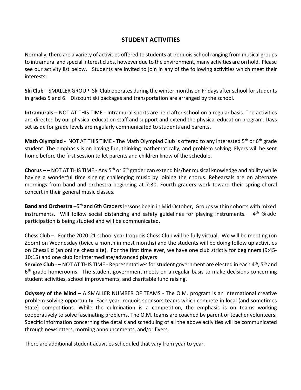## **STUDENT ACTIVITIES**

Normally, there are a variety of activities offered to students at Iroquois School ranging from musical groups to intramural and special interest clubs, however due to the environment, many activities are on hold. Please see our activity list below. Students are invited to join in any of the following activities which meet their interests:

**Ski Club** – SMALLER GROUP -Ski Club operates during the winter months on Fridays after school for students in grades 5 and 6. Discount ski packages and transportation are arranged by the school.

**Intramurals** – NOT AT THIS TIME - Intramural sports are held after school on a regular basis. The activities are directed by our physical education staff and support and extend the physical education program. Days set aside for grade levels are regularly communicated to students and parents.

**Math Olympiad** - NOT AT THIS TIME - The Math Olympiad Club is offered to any interested 5<sup>th</sup> or 6<sup>th</sup> grade student. The emphasis is on having fun, thinking mathematically, and problem solving. Flyers will be sent home before the first session to let parents and children know of the schedule.

**Chorus** – – NOT AT THIS TIME - Any 5th or 6th grader can extend his/her musical knowledge and ability while having a wonderful time singing challenging music by joining the chorus. Rehearsals are on alternate mornings from band and orchestra beginning at 7:30. Fourth graders work toward their spring choral concert in their general music classes.

**Band and Orchestra** –5<sup>th</sup> and 6th Graders lessons begin in Mid October, Groups within cohorts with mixed instruments. Will follow social distancing and safety guidelines for playing instruments.  $4<sup>th</sup>$  Grade participation is being studied and will be communicated.

Chess Club –. For the 2020-21 school year Iroquois Chess Club will be fully virtual. We will be meeting (on Zoom) on Wednesday (twice a month in most months) and the students will be doing follow up activities on ChessKid (an online chess site). For the first time ever, we have one club strictly for beginners (9:45- 10:15) and one club for intermediate/advanced players

**Service Club** - – NOT AT THIS TIME - Representatives for student government are elected in each 4<sup>th</sup>, 5<sup>th</sup> and  $6<sup>th</sup>$  grade homerooms. The student government meets on a regular basis to make decisions concerning student activities, school improvements, and charitable fund raising.

**Odyssey of the Mind** – A SMALLER NUMBER OF TEAMS - The O.M. program is an international creative problem-solving opportunity. Each year Iroquois sponsors teams which compete in local (and sometimes State) competitions. While the culmination is a competition, the emphasis is on teams working cooperatively to solve fascinating problems. The O.M. teams are coached by parent or teacher volunteers. Specific information concerning the details and scheduling of all the above activities will be communicated through newsletters, morning announcements, and/or flyers.

There are additional student activities scheduled that vary from year to year.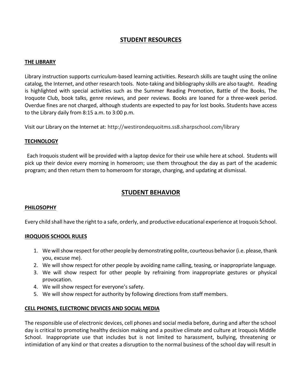## **STUDENT RESOURCES**

#### **THE LIBRARY**

Library instruction supports curriculum-based learning activities. Research skills are taught using the online catalog, the Internet, and other research tools. Note-taking and bibliography skills are also taught. Reading is highlighted with special activities such as the Summer Reading Promotion, Battle of the Books, The Iroquote Club, book talks, genre reviews, and peer reviews. Books are loaned for a three-week period. Overdue fines are not charged, although students are expected to pay for lost books. Students have access to the Library daily from 8:15 a.m. to 3:00 p.m.

Visit our Library on the Internet at: http://westirondequoitms.ss8.sharpschool.com/library

#### **TECHNOLOGY**

Each Iroquois student will be provided with a laptop device for their use while here at school. Students will pick up their device every morning in homeroom; use them throughout the day as part of the academic program; and then return them to homeroom for storage, charging, and updating at dismissal.

#### **STUDENT BEHAVIOR**

#### **PHILOSOPHY**

Every child shall have the right to a safe, orderly, and productive educational experience at Iroquois School.

#### **IROQUOIS SCHOOL RULES**

- 1. We will show respect for other people by demonstrating polite, courteous behavior (i.e. please, thank you, excuse me).
- 2. We will show respect for other people by avoiding name calling, teasing, or inappropriate language.
- 3. We will show respect for other people by refraining from inappropriate gestures or physical provocation.
- 4. We will show respect for everyone's safety.
- 5. We will show respect for authority by following directions from staff members.

#### **CELL PHONES, ELECTRONIC DEVICES AND SOCIAL MEDIA**

The responsible use of electronic devices, cell phones and social media before, during and after the school day is critical to promoting healthy decision making and a positive climate and culture at Iroquois Middle School. Inappropriate use that includes but is not limited to harassment, bullying, threatening or intimidation of any kind or that creates a disruption to the normal business of the school day will result in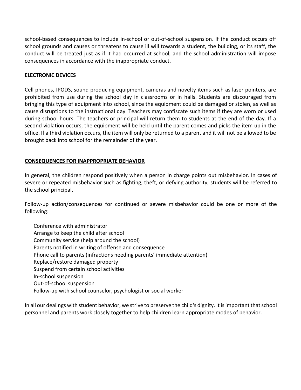school-based consequences to include in-school or out-of-school suspension. If the conduct occurs off school grounds and causes or threatens to cause ill will towards a student, the building, or its staff, the conduct will be treated just as if it had occurred at school, and the school administration will impose consequences in accordance with the inappropriate conduct.

#### **ELECTRONIC DEVICES**

Cell phones, IPODS, sound producing equipment, cameras and novelty items such as laser pointers, are prohibited from use during the school day in classrooms or in halls. Students are discouraged from bringing this type of equipment into school, since the equipment could be damaged or stolen, as well as cause disruptions to the instructional day. Teachers may confiscate such items if they are worn or used during school hours. The teachers or principal will return them to students at the end of the day. If a second violation occurs, the equipment will be held until the parent comes and picks the item up in the office. If a third violation occurs, the item will only be returned to a parent and it will not be allowed to be brought back into school for the remainder of the year.

#### **CONSEQUENCES FOR INAPPROPRIATE BEHAVIOR**

In general, the children respond positively when a person in charge points out misbehavior. In cases of severe or repeated misbehavior such as fighting, theft, or defying authority, students will be referred to the school principal.

Follow-up action/consequences for continued or severe misbehavior could be one or more of the following:

Conference with administrator Arrange to keep the child after school Community service (help around the school) Parents notified in writing of offense and consequence Phone call to parents (infractions needing parents' immediate attention) Replace/restore damaged property Suspend from certain school activities In-school suspension Out-of-school suspension Follow-up with school counselor, psychologist or social worker

In all our dealings with student behavior, we strive to preserve the child's dignity. It is important that school personnel and parents work closely together to help children learn appropriate modes of behavior.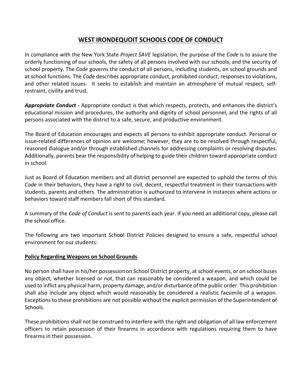### **WEST IRONDEQUOIT SCHOOLS CODE OF CONDUCT**

In compliance with the New York State *Project SAVE* legislation, the purpose of the *Code* is to assure the orderly functioning of our schools, the safety of all persons involved with our schools, and the security of school property. The *Code* governs the conduct of all persons, including students, on school grounds and at school functions. The *Code* describes appropriate conduct, prohibited conduct, responses to violations, and other related issues. It seeks to establish and maintain an atmosphere of mutual respect, selfrestraint, civility and trust.

*Appropriate Conduct* **-** Appropriate conduct is that which respects, protects, and enhances the district's educational mission and procedures, the authority and dignity of school personnel, and the rights of all persons associated with the district to a safe, secure, and productive environment.

The Board of Education encourages and expects all persons to exhibit appropriate conduct. Personal or issue-related differences of opinion are welcome; however, they are to be resolved through respectful, reasoned dialogue and/or through established channels for addressing complaints or resolving disputes. Additionally, parents bear the responsibility of helping to guide their children toward appropriate conduct in school.

Just as Board of Education members and all district personnel are expected to uphold the terms of this *Code* in their behaviors, they have a right to civil, decent, respectful treatment in their transactions with students, parents and others. The administration is authorized to intervene in instances where actions or behaviors toward staff members fall short of this standard.

A summary of the *Code of Conduct* is sent to parents each year. If you need an additional copy, please call the school office.

The following are two important School District Policies designed to ensure a safe, respectful school environment for our students:

#### **Policy Regarding Weapons on School Grounds**

No person shall have in his/her possession on School District property, at school events, or on school buses any object, whether licensed or not, that can reasonably be considered a weapon, and which could be used to inflict any physical harm, property damage, and/or disturbance of the public order. This prohibition shall also include any object which would reasonably be considered a realistic facsimile of a weapon. Exceptions to these prohibitions are not possible without the explicit permission of the Superintendent of Schools.

These prohibitions shall not be construed to interfere with the right and obligation of all law enforcement officers to retain possession of their firearms in accordance with regulations requiring them to have firearms in their possession.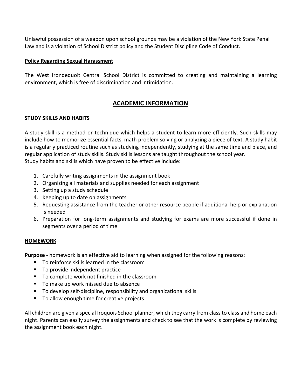Unlawful possession of a weapon upon school grounds may be a violation of the New York State Penal Law and is a violation of School District policy and the Student Discipline Code of Conduct.

#### **Policy Regarding Sexual Harassment**

The West Irondequoit Central School District is committed to creating and maintaining a learning environment, which is free of discrimination and intimidation.

### **ACADEMIC INFORMATION**

#### **STUDY SKILLS AND HABITS**

A study skill is a method or technique which helps a student to learn more efficiently. Such skills may include how to memorize essential facts, math problem solving or analyzing a piece of text. A study habit is a regularly practiced routine such as studying independently, studying at the same time and place, and regular application of study skills. Study skills lessons are taught throughout the school year. Study habits and skills which have proven to be effective include:

- 1. Carefully writing assignments in the assignment book
- 2. Organizing all materials and supplies needed for each assignment
- 3. Setting up a study schedule
- 4. Keeping up to date on assignments
- 5. Requesting assistance from the teacher or other resource people if additional help or explanation is needed
- 6. Preparation for long-term assignments and studying for exams are more successful if done in segments over a period of time

#### **HOMEWORK**

**Purpose** - homework is an effective aid to learning when assigned for the following reasons:

- To reinforce skills learned in the classroom
- To provide independent practice
- To complete work not finished in the classroom
- To make up work missed due to absence
- To develop self-discipline, responsibility and organizational skills
- To allow enough time for creative projects

All children are given a special Iroquois School planner, which they carry from class to class and home each night. Parents can easily survey the assignments and check to see that the work is complete by reviewing the assignment book each night.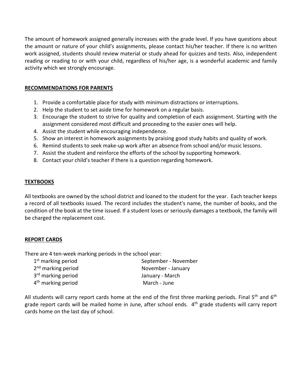The amount of homework assigned generally increases with the grade level. If you have questions about the amount or nature of your child's assignments, please contact his/her teacher. If there is no written work assigned, students should review material or study ahead for quizzes and tests. Also, independent reading or reading to or with your child, regardless of his/her age, is a wonderful academic and family activity which we strongly encourage.

#### **RECOMMENDATIONS FOR PARENTS**

- 1. Provide a comfortable place for study with minimum distractions or interruptions.
- 2. Help the student to set aside time for homework on a regular basis.
- 3. Encourage the student to strive for quality and completion of each assignment. Starting with the assignment considered most difficult and proceeding to the easier ones will help.
- 4. Assist the student while encouraging independence.
- 5. Show an interest in homework assignments by praising good study habits and quality of work.
- 6. Remind students to seek make-up work after an absence from school and/or music lessons.
- 7. Assist the student and reinforce the efforts of the school by supporting homework.
- 8. Contact your child's teacher if there is a question regarding homework.

#### **TEXTBOOKS**

All textbooks are owned by the school district and loaned to the student for the year. Each teacher keeps a record of all textbooks issued. The record includes the student's name, the number of books, and the condition of the book at the time issued. If a student loses or seriously damages a textbook, the family will be charged the replacement cost.

#### **REPORT CARDS**

There are 4 ten-week marking periods in the school year:

| $1st$ marking period           | September - November |
|--------------------------------|----------------------|
| 2 <sup>nd</sup> marking period | November - January   |
| 3 <sup>rd</sup> marking period | January - March      |
| 4 <sup>th</sup> marking period | March - June         |

All students will carry report cards home at the end of the first three marking periods. Final 5<sup>th</sup> and 6<sup>th</sup> grade report cards will be mailed home in June, after school ends.  $4<sup>th</sup>$  grade students will carry report cards home on the last day of school.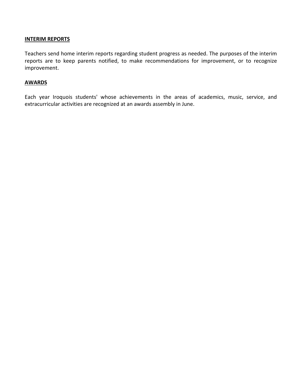#### **INTERIM REPORTS**

Teachers send home interim reports regarding student progress as needed. The purposes of the interim reports are to keep parents notified, to make recommendations for improvement, or to recognize improvement.

#### **AWARDS**

Each year Iroquois students' whose achievements in the areas of academics, music, service, and extracurricular activities are recognized at an awards assembly in June.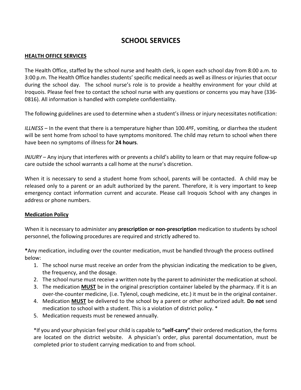# **SCHOOL SERVICES**

#### **HEALTH OFFICE SERVICES**

The Health Office, staffed by the school nurse and health clerk, is open each school day from 8:00 a.m. to 3:00 p.m. The Health Office handles students' specific medical needs as well as illness or injuries that occur during the school day. The school nurse's role is to provide a healthy environment for your child at Iroquois. Please feel free to contact the school nurse with any questions or concerns you may have (336- 0816). All information is handled with complete confidentiality.

The following guidelines are used to determine when a student's illness or injury necessitates notification:

*ILLNESS* – In the event that there is a temperature higher than 100.4ºF, vomiting, or diarrhea the student will be sent home from school to have symptoms monitored. The child may return to school when there have been no symptoms of illness for **24 hours**.

*INJURY* – Any injury that interferes with or prevents a child's ability to learn or that may require follow-up care outside the school warrants a call home at the nurse's discretion.

When it is necessary to send a student home from school, parents will be contacted. A child may be released only to a parent or an adult authorized by the parent. Therefore, it is very important to keep emergency contact information current and accurate. Please call Iroquois School with any changes in address or phone numbers.

#### **Medication Policy**

When it is necessary to administer any **prescription or non-prescription** medication to students by school personnel, the following procedures are required and strictly adhered to.

**\***Any medication, including over the counter medication, must be handled through the process outlined below:

- 1. The school nurse must receive an order from the physician indicating the medication to be given, the frequency, and the dosage.
- 2. The school nurse must receive a written note by the parent to administer the medication at school.
- 3. The medication **MUST** be in the original prescription container labeled by the pharmacy. If it is an over-the-counter medicine, (i.e. Tylenol, cough medicine, etc.) it must be in the original container.
- 4. Medication **MUST** be delivered to the school by a parent or other authorized adult. **Do not** send medication to school with a student. This is a violation of district policy. \*
- 5. Medication requests must be renewed annually.

\*If you and your physician feel your child is capable to **"self-carry"** their ordered medication, the forms are located on the district website. A physician's order, plus parental documentation, must be completed prior to student carrying medication to and from school.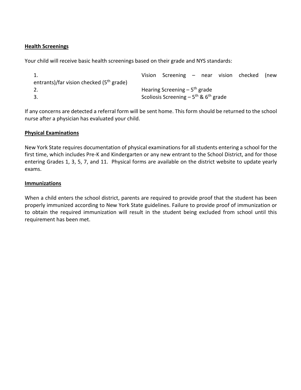#### **Health Screenings**

Your child will receive basic health screenings based on their grade and NYS standards:

```
1. Vision Screening – near vision checked (new 
entrants)/far vision checked (5th grade)
2. \blacksquare Hearing Screening – 5<sup>th</sup> grade
3. Scoliosis Screening – 5<sup>th</sup> & 6<sup>th</sup> grade
```
If any concerns are detected a referral form will be sent home. This form should be returned to the school nurse after a physician has evaluated your child.

#### **Physical Examinations**

New York State requires documentation of physical examinations for all students entering a school for the first time, which includes Pre-K and Kindergarten or any new entrant to the School District, and for those entering Grades 1, 3, 5, 7, and 11. Physical forms are available on the district website to update yearly exams.

#### **Immunizations**

When a child enters the school district, parents are required to provide proof that the student has been properly immunized according to New York State guidelines. Failure to provide proof of immunization or to obtain the required immunization will result in the student being excluded from school until this requirement has been met.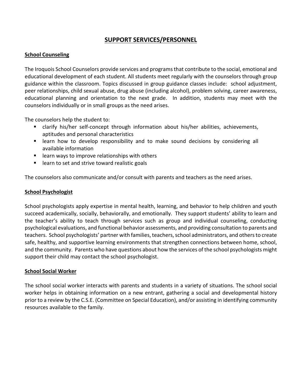## **SUPPORT SERVICES/PERSONNEL**

#### **School Counseling**

The Iroquois School Counselors provide services and programs that contribute to the social, emotional and educational development of each student. All students meet regularly with the counselors through group guidance within the classroom. Topics discussed in group guidance classes include: school adjustment, peer relationships, child sexual abuse, drug abuse (including alcohol), problem solving, career awareness, educational planning and orientation to the next grade. In addition, students may meet with the counselors individually or in small groups as the need arises.

The counselors help the student to:

- clarify his/her self-concept through information about his/her abilities, achievements, aptitudes and personal characteristics
- learn how to develop responsibility and to make sound decisions by considering all available information
- learn ways to improve relationships with others
- learn to set and strive toward realistic goals

The counselors also communicate and/or consult with parents and teachers as the need arises.

#### **School Psychologist**

School psychologists apply expertise in mental health, learning, and behavior to help children and youth succeed academically, socially, behaviorally, and emotionally. They support students' ability to learn and the teacher's ability to teach through services such as group and individual counseling, conducting psychological evaluations, and functional behavior assessments, and providing consultation to parents and teachers. School psychologists' partner with families, teachers, school administrators, and others to create safe, healthy, and supportive learning environments that strengthen connections between home, school, and the community. Parents who have questions about how the services of the school psychologists might support their child may contact the school psychologist.

#### **School Social Worker**

The school social worker interacts with parents and students in a variety of situations. The school social worker helps in obtaining information on a new entrant, gathering a social and developmental history prior to a review by the C.S.E. (Committee on Special Education), and/or assisting in identifying community resources available to the family.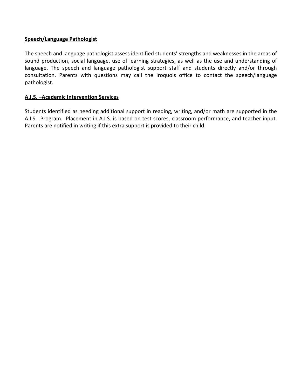#### **Speech/Language Pathologist**

The speech and language pathologist assess identified students' strengths and weaknesses in the areas of sound production, social language, use of learning strategies, as well as the use and understanding of language. The speech and language pathologist support staff and students directly and/or through consultation. Parents with questions may call the Iroquois office to contact the speech/language pathologist.

#### **A.I.S. –Academic Intervention Services**

Students identified as needing additional support in reading, writing, and/or math are supported in the A.I.S. Program. Placement in A.I.S. is based on test scores, classroom performance, and teacher input. Parents are notified in writing if this extra support is provided to their child.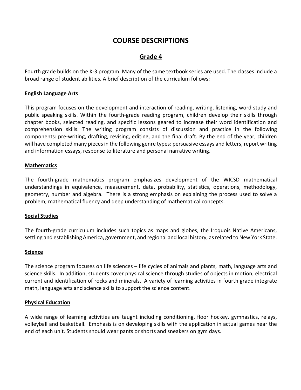# **COURSE DESCRIPTIONS**

## **Grade 4**

Fourth grade builds on the K-3 program. Many of the same textbook series are used. The classes include a broad range of student abilities. A brief description of the curriculum follows:

#### **English Language Arts**

This program focuses on the development and interaction of reading, writing, listening, word study and public speaking skills. Within the fourth-grade reading program, children develop their skills through chapter books, selected reading, and specific lessons geared to increase their word identification and comprehension skills. The writing program consists of discussion and practice in the following components: pre-writing, drafting, revising, editing, and the final draft. By the end of the year, children will have completed many pieces in the following genre types: persuasive essays and letters, report writing and information essays, response to literature and personal narrative writing.

#### **Mathematics**

The fourth-grade mathematics program emphasizes development of the WICSD mathematical understandings in equivalence, measurement, data, probability, statistics, operations, methodology, geometry, number and algebra. There is a strong emphasis on explaining the process used to solve a problem, mathematical fluency and deep understanding of mathematical concepts.

#### **Social Studies**

The fourth-grade curriculum includes such topics as maps and globes, the Iroquois Native Americans, settling and establishing America, government, and regional and local history, as related to New York State.

#### **Science**

The science program focuses on life sciences – life cycles of animals and plants, math, language arts and science skills. In addition, students cover physical science through studies of objects in motion, electrical current and identification of rocks and minerals. A variety of learning activities in fourth grade integrate math, language arts and science skills to support the science content.

#### **Physical Education**

A wide range of learning activities are taught including conditioning, floor hockey, gymnastics, relays, volleyball and basketball. Emphasis is on developing skills with the application in actual games near the end of each unit. Students should wear pants or shorts and sneakers on gym days.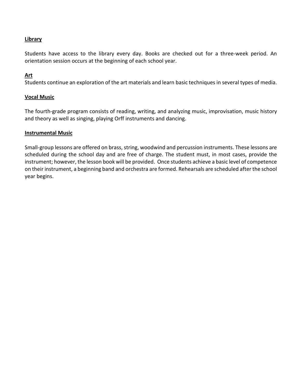#### **Library**

Students have access to the library every day. Books are checked out for a three-week period. An orientation session occurs at the beginning of each school year.

#### **Art**

Students continue an exploration of the art materials and learn basic techniques in several types of media.

#### **Vocal Music**

The fourth-grade program consists of reading, writing, and analyzing music, improvisation, music history and theory as well as singing, playing Orff instruments and dancing.

#### **Instrumental Music**

Small-group lessons are offered on brass, string, woodwind and percussion instruments. These lessons are scheduled during the school day and are free of charge. The student must, in most cases, provide the instrument; however, the lesson book will be provided. Once students achieve a basic level of competence on their instrument, a beginning band and orchestra are formed. Rehearsals are scheduled after the school year begins.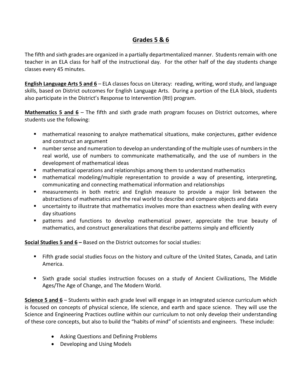## **Grades 5 & 6**

The fifth and sixth grades are organized in a partially departmentalized manner. Students remain with one teacher in an ELA class for half of the instructional day. For the other half of the day students change classes every 45 minutes.

**English Language Arts 5 and 6** – ELA classes focus on Literacy: reading, writing, word study, and language skills, based on District outcomes for English Language Arts. During a portion of the ELA block, students also participate in the District's Response to Intervention (RtI) program.

**Mathematics 5 and 6** – The fifth and sixth grade math program focuses on District outcomes, where students use the following:

- mathematical reasoning to analyze mathematical situations, make conjectures, gather evidence and construct an argument
- number sense and numeration to develop an understanding of the multiple uses of numbers in the real world, use of numbers to communicate mathematically, and the use of numbers in the development of mathematical ideas
- **E** mathematical operations and relationships among them to understand mathematics
- mathematical modeling/multiple representation to provide a way of presenting, interpreting, communicating and connecting mathematical information and relationships
- measurements in both metric and English measure to provide a major link between the abstractions of mathematics and the real world to describe and compare objects and data
- uncertainty to illustrate that mathematics involves more than exactness when dealing with every day situations
- patterns and functions to develop mathematical power, appreciate the true beauty of mathematics, and construct generalizations that describe patterns simply and efficiently

**Social Studies 5 and 6 –** Based on the District outcomes for social studies:

- Fifth grade social studies focus on the history and culture of the United States, Canada, and Latin America.
- Sixth grade social studies instruction focuses on a study of Ancient Civilizations, The Middle Ages/The Age of Change, and The Modern World.

**Science 5 and 6** – Students within each grade level will engage in an integrated science curriculum which is focused on concepts of physical science, life science, and earth and space science. They will use the Science and Engineering Practices outline within our curriculum to not only develop their understanding of these core concepts, but also to build the "habits of mind" of scientists and engineers. These include:

- Asking Questions and Defining Problems
- Developing and Using Models